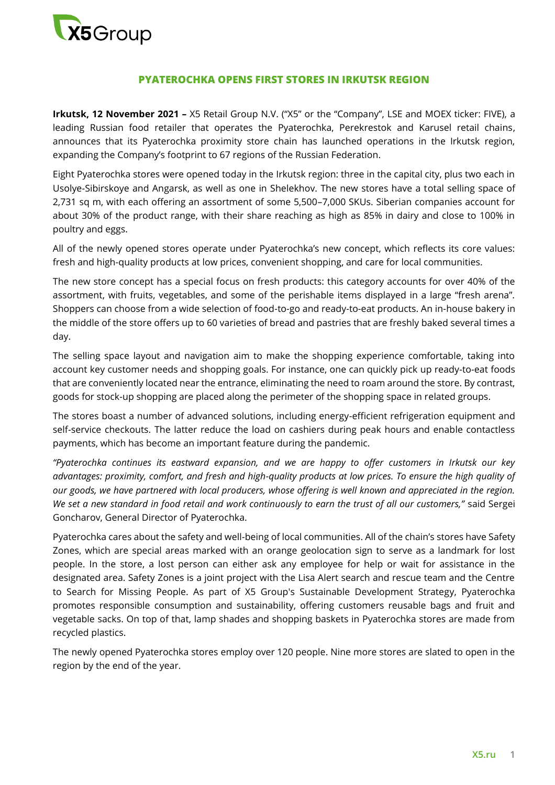

## **PYATEROCHKA OPENS FIRST STORES IN IRKUTSK REGION**

**Irkutsk, 12 November 2021 –** X5 Retail Group N.V. ("X5" or the "Company", LSE and MOEX ticker: FIVE), a leading Russian food retailer that operates the Pyaterochka, Perekrestok and Karusel retail chains, announces that its Pyaterochka proximity store chain has launched operations in the Irkutsk region, expanding the Company's footprint to 67 regions of the Russian Federation.

Eight Pyaterochka stores were opened today in the Irkutsk region: three in the capital city, plus two each in Usolye-Sibirskoye and Angarsk, as well as one in Shelekhov. The new stores have a total selling space of 2,731 sq m, with each offering an assortment of some 5,500–7,000 SKUs. Siberian companies account for about 30% of the product range, with their share reaching as high as 85% in dairy and close to 100% in poultry and eggs.

All of the newly opened stores operate under Pyaterochka's new concept, which reflects its core values: fresh and high-quality products at low prices, convenient shopping, and care for local communities.

The new store concept has a special focus on fresh products: this category accounts for over 40% of the assortment, with fruits, vegetables, and some of the perishable items displayed in a large "fresh arena". Shoppers can choose from a wide selection of food-to-go and ready-to-eat products. An in-house bakery in the middle of the store offers up to 60 varieties of bread and pastries that are freshly baked several times a day.

The selling space layout and navigation aim to make the shopping experience comfortable, taking into account key customer needs and shopping goals. For instance, one can quickly pick up ready-to-eat foods that are conveniently located near the entrance, eliminating the need to roam around the store. By contrast, goods for stock-up shopping are placed along the perimeter of the shopping space in related groups.

The stores boast a number of advanced solutions, including energy-efficient refrigeration equipment and self-service checkouts. The latter reduce the load on cashiers during peak hours and enable contactless payments, which has become an important feature during the pandemic.

*"Pyaterochka continues its eastward expansion, and we are happy to offer customers in Irkutsk our key advantages: proximity, comfort, and fresh and high-quality products at low prices. To ensure the high quality of our goods, we have partnered with local producers, whose offering is well known and appreciated in the region. We set a new standard in food retail and work continuously to earn the trust of all our customers,"* said Sergei Goncharov, General Director of Pyaterochka.

Pyaterochka cares about the safety and well-being of local communities. All of the chain's stores have Safety Zones, which are special areas marked with an orange geolocation sign to serve as a landmark for lost people. In the store, a lost person can either ask any employee for help or wait for assistance in the designated area. Safety Zones is a joint project with the Lisa Alert search and rescue team and the Centre to Search for Missing People. As part of X5 Group's Sustainable Development Strategy, Pyaterochka promotes responsible consumption and sustainability, offering customers reusable bags and fruit and vegetable sacks. On top of that, lamp shades and shopping baskets in Pyaterochka stores are made from recycled plastics.

The newly opened Pyaterochka stores employ over 120 people. Nine more stores are slated to open in the region by the end of the year.